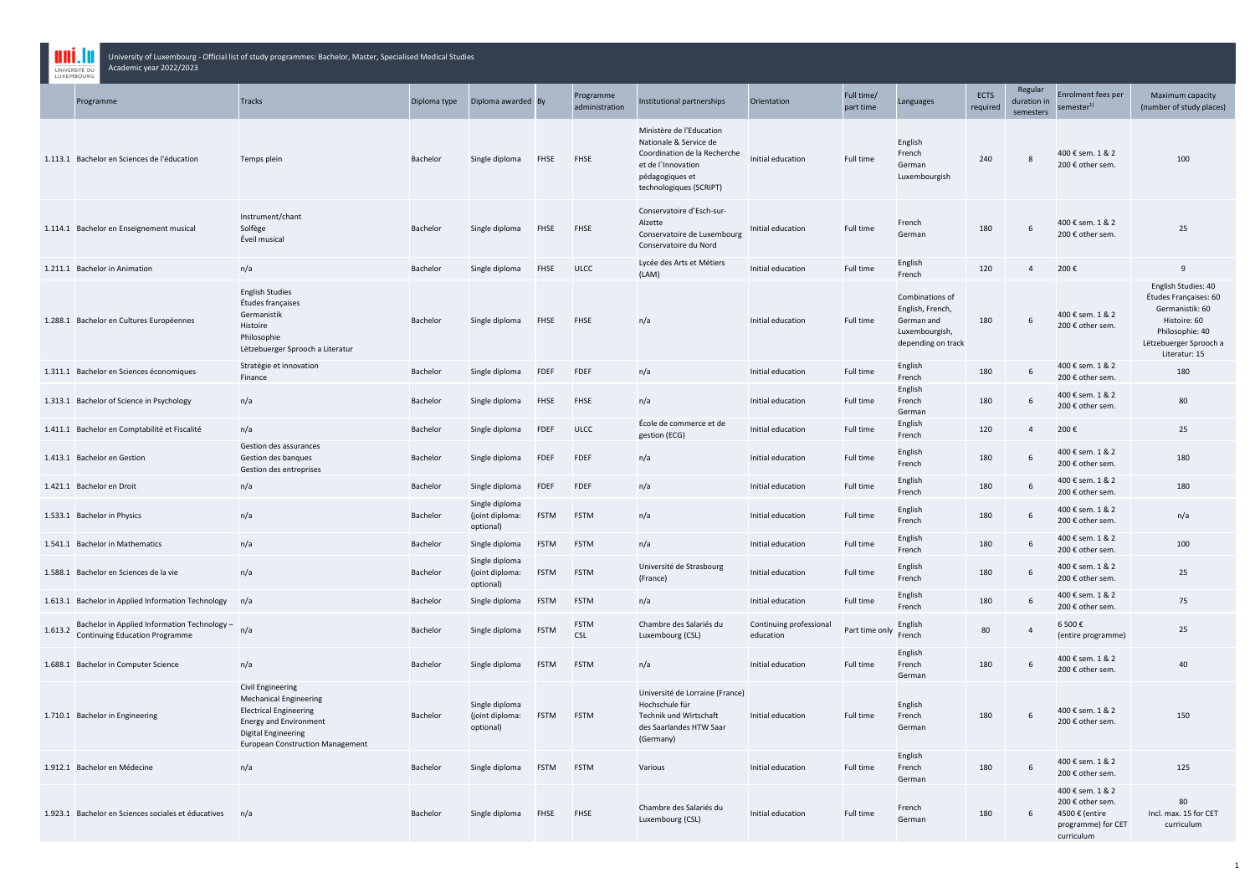|         | Academic year 2022/2023<br>UNIVERSITÉ DU<br>LUXEMBOURG                                |                                                                                                                                                                                                      |                 |                                                |             |                             |                                                                                                                                                        |                                      |                         |                                                                                           |                  |                                     |                                                                                            |                                                                                                                                               |
|---------|---------------------------------------------------------------------------------------|------------------------------------------------------------------------------------------------------------------------------------------------------------------------------------------------------|-----------------|------------------------------------------------|-------------|-----------------------------|--------------------------------------------------------------------------------------------------------------------------------------------------------|--------------------------------------|-------------------------|-------------------------------------------------------------------------------------------|------------------|-------------------------------------|--------------------------------------------------------------------------------------------|-----------------------------------------------------------------------------------------------------------------------------------------------|
|         | Programme                                                                             | <b>Tracks</b>                                                                                                                                                                                        | Diploma type    | Diploma awarded By                             |             | Programme<br>administration | Institutional partnerships                                                                                                                             | Orientation                          | Full time/<br>part time | Languages                                                                                 | ECTS<br>required | Regular<br>duration in<br>semesters | <b>Enrolment fees per</b><br>semester <sup>1)</sup>                                        | Maximum capacity<br>(number of study places)                                                                                                  |
|         | 1.113.1 Bachelor en Sciences de l'éducation                                           | Temps plein                                                                                                                                                                                          | <b>Bachelor</b> | Single diploma                                 | <b>FHSE</b> | FHSE                        | Ministère de l'Education<br>Nationale & Service de<br>Coordination de la Recherche<br>et de l'Innovation<br>pédagogiques et<br>technologiques (SCRIPT) | Initial education                    | Full time               | English<br>French<br>German<br>Luxembourgish                                              | 240              | 8                                   | 400 € sem. 1 & 2<br>200 € other sem.                                                       | 100                                                                                                                                           |
|         | 1.114.1 Bachelor en Enseignement musical                                              | Instrument/chant<br>Solfège<br>Éveil musical                                                                                                                                                         | Bachelor        | Single diploma                                 | <b>FHSE</b> | <b>FHSE</b>                 | Conservatoire d'Esch-sur-<br>Alzette<br>Conservatoire de Luxembourg<br>Conservatoire du Nord                                                           | Initial education                    | Full time               | French<br>German                                                                          | 180              | 6                                   | 400 € sem. 1 & 2<br>200 € other sem.                                                       | 25                                                                                                                                            |
|         | 1.211.1 Bachelor in Animation                                                         | n/a                                                                                                                                                                                                  | Bachelor        | Single diploma                                 | <b>FHSE</b> | <b>ULCC</b>                 | Lycée des Arts et Métiers<br>(LAM)                                                                                                                     | Initial education                    | Full time               | English<br>French                                                                         | 120              | $\overline{4}$                      | 200€                                                                                       | 9                                                                                                                                             |
|         | 1.288.1 Bachelor en Cultures Européennes                                              | <b>English Studies</b><br>Études françaises<br>Germanistik<br>Histoire<br>Philosophie<br>Lëtzebuerger Sprooch a Literatur                                                                            | Bachelor        | Single diploma                                 | <b>FHSE</b> | <b>FHSE</b>                 | n/a                                                                                                                                                    | Initial education                    | Full time               | Combinations of<br>English, French,<br>German and<br>Luxembourgish,<br>depending on track | 180              | 6                                   | 400 € sem. 1 & 2<br>200 € other sem.                                                       | English Studies: 40<br>Études Françaises: 60<br>Germanistik: 60<br>Histoire: 60<br>Philosophie: 40<br>Lëtzebuerger Sprooch a<br>Literatur: 15 |
|         | 1.311.1 Bachelor en Sciences économiques                                              | Stratégie et innovation<br>Finance                                                                                                                                                                   | Bachelor        | Single diploma                                 | <b>FDEF</b> | <b>FDEF</b>                 | n/a                                                                                                                                                    | Initial education                    | Full time               | English<br>French                                                                         | 180              | 6                                   | 400 € sem. 1 & 2<br>200 € other sem.                                                       | 180                                                                                                                                           |
|         | 1.313.1 Bachelor of Science in Psychology                                             | n/a                                                                                                                                                                                                  | Bachelor        | Single diploma                                 | <b>FHSE</b> | <b>FHSE</b>                 | n/a                                                                                                                                                    | Initial education                    | Full time               | English<br>French<br>German                                                               | 180              | 6                                   | 400 € sem. 1 & 2<br>200 € other sem.                                                       | 80                                                                                                                                            |
|         | 1.411.1 Bachelor en Comptabilité et Fiscalité                                         | n/a                                                                                                                                                                                                  | Bachelor        | Single diploma                                 | <b>FDEF</b> | <b>ULCC</b>                 | École de commerce et de<br>gestion (ECG)                                                                                                               | Initial education                    | Full time               | English<br>French                                                                         | 120              | $\overline{4}$                      | 200€                                                                                       | 25                                                                                                                                            |
|         | 1.413.1 Bachelor en Gestion                                                           | Gestion des assurances<br>Gestion des banques<br>Gestion des entreprises                                                                                                                             | Bachelor        | Single diploma                                 | <b>FDEF</b> | <b>FDEF</b>                 | n/a                                                                                                                                                    | Initial education                    | Full time               | English<br>French                                                                         | 180              |                                     | 400 € sem. 1 & 2<br>200 € other sem.                                                       | 180                                                                                                                                           |
|         | 1.421.1 Bachelor en Droit                                                             | n/a                                                                                                                                                                                                  | Bachelor        | Single diploma                                 | <b>FDEF</b> | FDEF                        | n/a                                                                                                                                                    | Initial education                    | Full time               | English<br>French                                                                         | 180              | 6                                   | 400 € sem. 1 & 2<br>200 € other sem.                                                       | 180                                                                                                                                           |
|         | 1.533.1 Bachelor in Physics                                                           | n/a                                                                                                                                                                                                  | Bachelor        | Single diploma<br>(joint diploma:<br>optional) | <b>FSTM</b> | <b>FSTM</b>                 | n/a                                                                                                                                                    | Initial education                    | Full time               | English<br>French                                                                         | 180              |                                     | 400 € sem. 1 & 2<br>200 € other sem.                                                       | n/a                                                                                                                                           |
|         | 1.541.1 Bachelor in Mathematics                                                       | n/a                                                                                                                                                                                                  | Bachelor        | Single diploma                                 | <b>FSTM</b> | <b>FSTM</b>                 | n/a                                                                                                                                                    | Initial education                    | Full time               | English<br>French                                                                         | 180              | 6                                   | 400 € sem. 1 & 2<br>200 € other sem.                                                       | 100                                                                                                                                           |
|         | 1.588.1 Bachelor en Sciences de la vie                                                | n/a                                                                                                                                                                                                  | Bachelor        | Single diploma<br>(joint diploma:<br>optional) | <b>FSTM</b> | <b>FSTM</b>                 | Université de Strasbourg<br>(France)                                                                                                                   | Initial education                    | Full time               | English<br>French                                                                         | 180              | 6                                   | 400 € sem. 1 & 2<br>200 € other sem.                                                       | 25                                                                                                                                            |
|         | 1.613.1 Bachelor in Applied Information Technology                                    | n/a                                                                                                                                                                                                  | <b>Bachelor</b> | Single diploma                                 | <b>FSTM</b> | <b>FSTM</b>                 | n/a                                                                                                                                                    | Initial education                    | Full time               | English<br>French                                                                         | 180              | 6                                   | 400 € sem. 1 & 2<br>200 € other sem.                                                       | 75                                                                                                                                            |
| 1.613.2 | Bachelor in Applied Information Technology -<br><b>Continuing Education Programme</b> | n/a                                                                                                                                                                                                  | Bachelor        | Single diploma                                 | <b>FSTM</b> | <b>FSTM</b><br><b>CSL</b>   | Chambre des Salariés du<br>Luxembourg (CSL)                                                                                                            | Continuing professional<br>education | Part time only          | English<br>French                                                                         | 80               |                                     | 6 500 €<br>(entire programme)                                                              | 25                                                                                                                                            |
|         | 1.688.1 Bachelor in Computer Science                                                  | n/a                                                                                                                                                                                                  | Bachelor        | Single diploma                                 | <b>FSTM</b> | <b>FSTM</b>                 | n/a                                                                                                                                                    | Initial education                    | Full time               | English<br>French<br>German                                                               | 180              | 6                                   | 400 € sem. 1 & 2<br>200 € other sem.                                                       | 40                                                                                                                                            |
|         | 1.710.1 Bachelor in Engineering                                                       | <b>Civil Engineering</b><br><b>Mechanical Engineering</b><br><b>Electrical Engineering</b><br><b>Energy and Environment</b><br><b>Digital Engineering</b><br><b>European Construction Management</b> | <b>Bachelor</b> | Single diploma<br>(joint diploma:<br>optional) | <b>FSTM</b> | <b>FSTM</b>                 | Université de Lorraine (France)<br>Hochschule für<br>Technik und Wirtschaft<br>des Saarlandes HTW Saar<br>(Germany)                                    | Initial education                    | Full time               | English<br>French<br>German                                                               | 180              | 6                                   | 400 € sem. 1 & 2<br>200 € other sem.                                                       | 150                                                                                                                                           |
|         | 1.912.1 Bachelor en Médecine                                                          | n/a                                                                                                                                                                                                  | Bachelor        | Single diploma                                 | <b>FSTM</b> | <b>FSTM</b>                 | Various                                                                                                                                                | Initial education                    | Full time               | English<br>French<br>German                                                               | 180              | 6                                   | 400 € sem. 1 & 2<br>200 € other sem.                                                       | 125                                                                                                                                           |
|         | 1.923.1 Bachelor en Sciences sociales et éducatives                                   | n/a                                                                                                                                                                                                  | Bachelor        | Single diploma                                 | <b>FHSE</b> | <b>FHSE</b>                 | Chambre des Salariés du<br>Luxembourg (CSL)                                                                                                            | Initial education                    | Full time               | French<br>German                                                                          | 180              | 6                                   | 400 € sem. 1 & 2<br>200 € other sem.<br>4500 € (entire<br>programme) for CET<br>curriculum | 80<br>Incl. max. 15 for CET<br>curriculum                                                                                                     |

University of Luxembourg - Official list of study programmes: Bachelor, Master, Specialised Medical Studies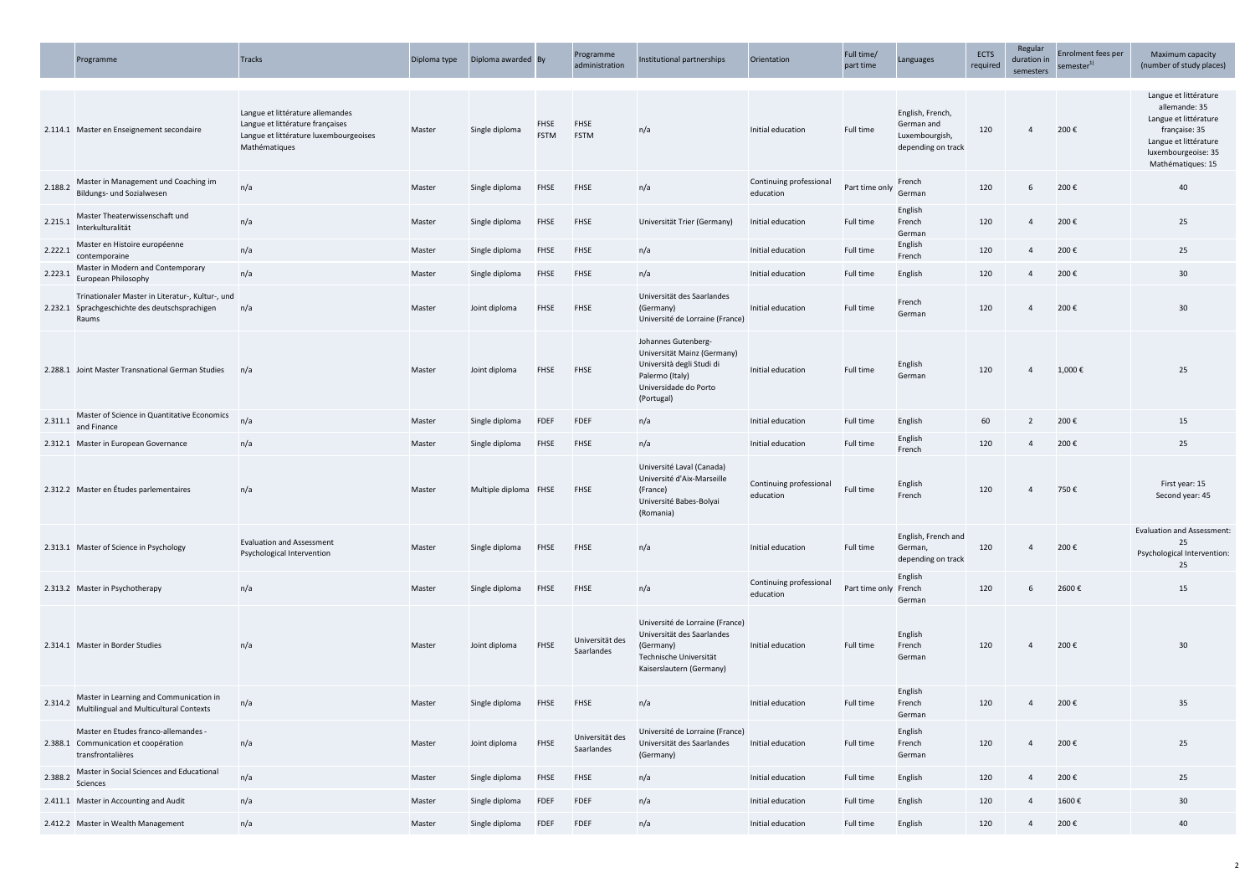|         | Programme                                                                                                   | <b>Tracks</b>                                                                                                                   | Diploma type | Diploma awarded By    |                            | Programme<br>administration   | Institutional partnerships                                                                                                                | Orientation                          | Full time/<br>part time | Languages                                                              | ECTS<br>required | Regular<br>duration in<br>semesters | Enrolment fees per<br>semester <sup>1</sup> | Maximum capacity<br>(number of study places)                                                                                                          |
|---------|-------------------------------------------------------------------------------------------------------------|---------------------------------------------------------------------------------------------------------------------------------|--------------|-----------------------|----------------------------|-------------------------------|-------------------------------------------------------------------------------------------------------------------------------------------|--------------------------------------|-------------------------|------------------------------------------------------------------------|------------------|-------------------------------------|---------------------------------------------|-------------------------------------------------------------------------------------------------------------------------------------------------------|
|         | 2.114.1 Master en Enseignement secondaire                                                                   | Langue et littérature allemandes<br>Langue et littérature françaises<br>Langue et littérature luxembourgeoises<br>Mathématiques | Master       | Single diploma        | <b>FHSE</b><br><b>FSTM</b> | FHSE<br><b>FSTM</b>           | n/a                                                                                                                                       | Initial education                    | Full time               | English, French,<br>German and<br>Luxembourgish,<br>depending on track | 120              |                                     | 200€                                        | Langue et littérature<br>allemande: 35<br>Langue et littérature<br>française: 35<br>Langue et littérature<br>luxembourgeoise: 35<br>Mathématiques: 15 |
| 2.188.2 | Master in Management und Coaching im<br>Bildungs- und Sozialwesen                                           | n/a                                                                                                                             | Master       | Single diploma        | <b>FHSE</b>                | <b>FHSE</b>                   | n/a                                                                                                                                       | Continuing professiona<br>education  | Part time only          | French<br>German                                                       | 120              | 6                                   | 200€                                        | 40                                                                                                                                                    |
| 2.215.1 | Master Theaterwissenschaft und<br>Interkulturalität                                                         | n/a                                                                                                                             | Master       | Single diploma        | <b>FHSE</b>                | <b>FHSE</b>                   | Universität Trier (Germany)                                                                                                               | Initial education                    | Full time               | English<br>French<br>German                                            | 120              | $\overline{4}$                      | 200€                                        | 25                                                                                                                                                    |
| 2.222.1 | Master en Histoire européenne<br>contemporaine                                                              | n/a                                                                                                                             | Master       | Single diploma        | <b>FHSE</b>                | <b>FHSE</b>                   | n/a                                                                                                                                       | Initial education                    | Full time               | English<br>French                                                      | 120              | $\overline{4}$                      | 200€                                        | 25                                                                                                                                                    |
| 2.223.1 | Master in Modern and Contemporary<br>European Philosophy                                                    | n/a                                                                                                                             | Master       | Single diploma        | <b>FHSE</b>                | <b>FHSE</b>                   | n/a                                                                                                                                       | Initial education                    | <b>Full time</b>        | English                                                                | 120              | $\overline{4}$                      | 200€                                        | 30                                                                                                                                                    |
|         | Trinationaler Master in Literatur-, Kultur-, und<br>2.232.1 Sprachgeschichte des deutschsprachigen<br>Raums | n/a                                                                                                                             | Master       | Joint diploma         | <b>FHSE</b>                | <b>FHSE</b>                   | Universität des Saarlandes<br>(Germany)<br>Université de Lorraine (France)                                                                | Initial education                    | Full time               | French<br>German                                                       | 120              | 4                                   | 200€                                        | 30                                                                                                                                                    |
|         | 2.288.1 Joint Master Transnational German Studies                                                           | n/a                                                                                                                             | Master       | Joint diploma         | <b>FHSE</b>                | <b>FHSE</b>                   | Johannes Gutenberg-<br>Universität Mainz (Germany)<br>Università degli Studi di<br>Palermo (Italy)<br>Universidade do Porto<br>(Portugal) | Initial education                    | Full time               | English<br>German                                                      | 120              | $\overline{4}$                      | 1,000€                                      | 25                                                                                                                                                    |
| 2.311.1 | Master of Science in Quantitative Economics<br>and Finance                                                  | n/a                                                                                                                             | Master       | Single diploma        | <b>FDEF</b>                | <b>FDEF</b>                   | n/a                                                                                                                                       | Initial education                    | Full time               | English                                                                | 60               | $\overline{2}$                      | 200€                                        | 15                                                                                                                                                    |
|         | 2.312.1 Master in European Governance                                                                       | n/a                                                                                                                             | Master       | Single diploma        | <b>FHSE</b>                | <b>FHSE</b>                   | n/a                                                                                                                                       | Initial education                    | Full time               | English<br>French                                                      | 120              | 4                                   | 200€                                        | 25                                                                                                                                                    |
|         | 2.312.2 Master en Études parlementaires                                                                     | n/a                                                                                                                             | Master       | Multiple diploma FHSE |                            | <b>FHSE</b>                   | Université Laval (Canada)<br>Université d'Aix-Marseille<br>(France)<br>Université Babes-Bolyai<br>(Romania)                               | Continuing professional<br>education | Full time               | English<br>French                                                      | 120              |                                     | 750€                                        | First year: 15<br>Second year: 45                                                                                                                     |
|         | 2.313.1 Master of Science in Psychology                                                                     | <b>Evaluation and Assessment</b><br>Psychological Intervention                                                                  | Master       | Single diploma        | <b>FHSE</b>                | <b>FHSE</b>                   | n/a                                                                                                                                       | Initial education                    | Full time               | English, French and<br>German,<br>depending on track                   | 120              | 4                                   | 200€                                        | <b>Evaluation and Assessment</b><br>25<br>Psychological Intervention:<br>25                                                                           |
|         | 2.313.2 Master in Psychotherapy                                                                             | n/a                                                                                                                             | Master       | Single diploma        | <b>FHSE</b>                | <b>FHSE</b>                   | n/a                                                                                                                                       | Continuing professional<br>education | Part time only French   | English<br>German                                                      | 120              | 6                                   | 2600€                                       | 15                                                                                                                                                    |
|         | 2.314.1 Master in Border Studies                                                                            | n/a                                                                                                                             | Master       | Joint diploma         | <b>FHSE</b>                | Universität des<br>Saarlandes | Université de Lorraine (France)<br>Universität des Saarlandes<br>(Germany)<br>Technische Universität<br>Kaiserslautern (Germany)          | Initial education                    | Full time               | English<br>French<br>German                                            | 120              | $\overline{4}$                      | 200€                                        | 30                                                                                                                                                    |
| 2.314.2 | Master in Learning and Communication in<br>Multilingual and Multicultural Contexts                          | n/a                                                                                                                             | Master       | Single diploma        | <b>FHSE</b>                | <b>FHSE</b>                   | n/a                                                                                                                                       | Initial education                    | Full time               | English<br>French<br>German                                            | 120              | $\overline{4}$                      | 200€                                        | 35                                                                                                                                                    |
|         | Master en Etudes franco-allemandes -<br>2.388.1 Communication et coopération<br>transfrontalières           | n/a                                                                                                                             | Master       | Joint diploma         | FHSE                       | Universität des<br>Saarlandes | Université de Lorraine (France)<br>Universität des Saarlandes<br>(Germany)                                                                | Initial education                    | Full time               | English<br>French<br>German                                            | 120              | 4                                   | 200€                                        | 25                                                                                                                                                    |
| 2.388.2 | Master in Social Sciences and Educational<br>Sciences                                                       | n/a                                                                                                                             | Master       | Single diploma        | <b>FHSE</b>                | <b>FHSE</b>                   | n/a                                                                                                                                       | Initial education                    | Full time               | English                                                                | 120              | $\overline{4}$                      | 200€                                        | 25                                                                                                                                                    |
|         | 2.411.1 Master in Accounting and Audit                                                                      | n/a                                                                                                                             | Master       | Single diploma        | <b>FDEF</b>                | <b>FDEF</b>                   | n/a                                                                                                                                       | Initial education                    | Full time               | English                                                                | 120              | $\overline{4}$                      | 1600€                                       | 30                                                                                                                                                    |
|         | 2.412.2 Master in Wealth Management                                                                         | n/a                                                                                                                             | Master       | Single diploma        | <b>FDEF</b>                | FDEF                          | n/a                                                                                                                                       | Initial education                    | Full time               | English                                                                | 120              | $\overline{4}$                      | 200€                                        | 40                                                                                                                                                    |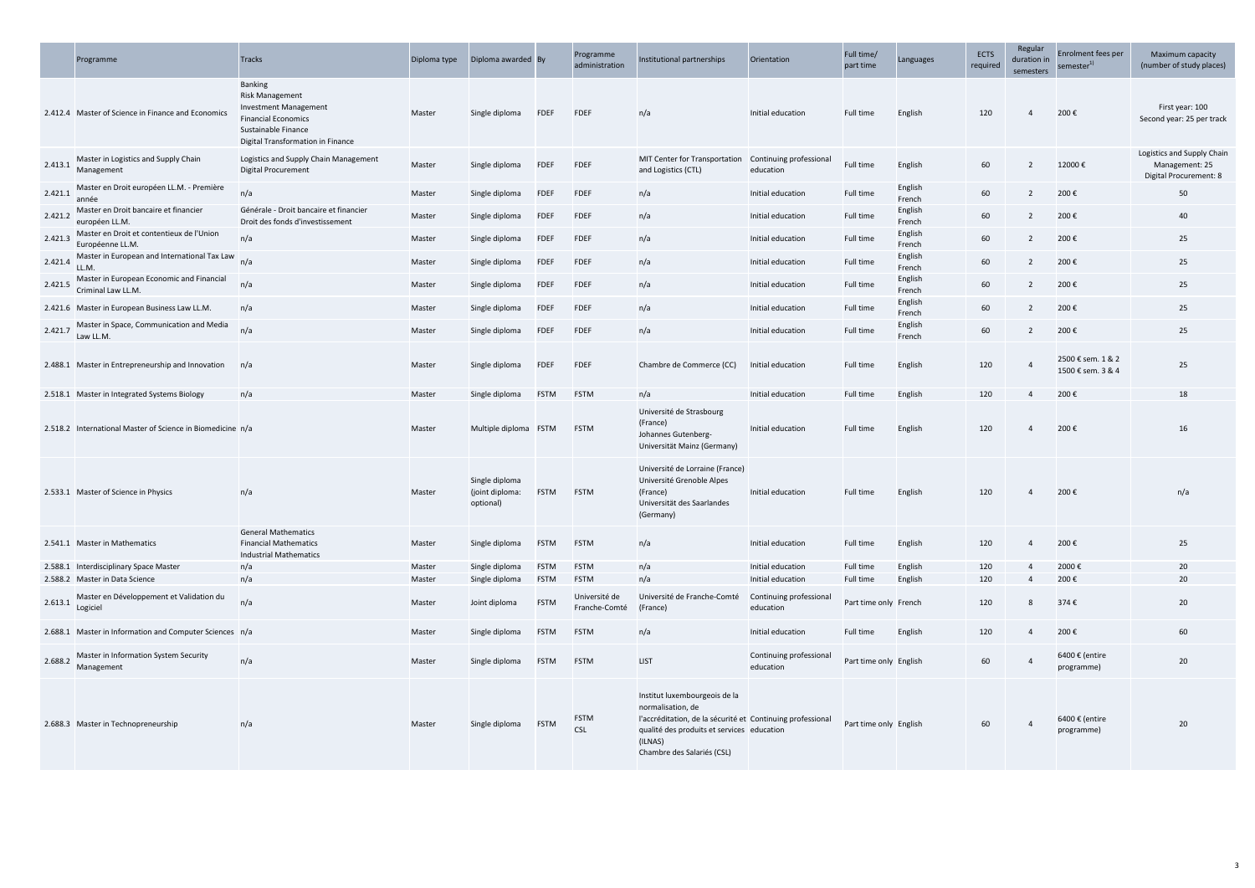|         | Programme                                                                              | <b>Tracks</b>                                                                                                                                                      | Diploma type     | Diploma awarded By                             |                            | Programme<br>administration                   | Institutional partnerships                                                                                                                                                                              | Orientation                                               | Full time/<br>part time            | Languages         | <b>ECTS</b><br>required | Regular<br>duration in<br>semesters | Enrolment fees per<br>semester <sup>1)</sup> | Maximum capad<br>(number of study p                               |
|---------|----------------------------------------------------------------------------------------|--------------------------------------------------------------------------------------------------------------------------------------------------------------------|------------------|------------------------------------------------|----------------------------|-----------------------------------------------|---------------------------------------------------------------------------------------------------------------------------------------------------------------------------------------------------------|-----------------------------------------------------------|------------------------------------|-------------------|-------------------------|-------------------------------------|----------------------------------------------|-------------------------------------------------------------------|
|         | 2.412.4 Master of Science in Finance and Economics                                     | <b>Banking</b><br><b>Risk Management</b><br><b>Investment Management</b><br><b>Financial Economics</b><br>Sustainable Finance<br>Digital Transformation in Finance | Master           | Single diploma                                 | <b>FDEF</b>                | <b>FDEF</b>                                   | n/a                                                                                                                                                                                                     | Initial education                                         | Full time                          | English           | 120                     | $\overline{4}$                      | 200€                                         | First year: 100<br>Second year: 25 per                            |
| 2.413.1 | Master in Logistics and Supply Chain<br>Management                                     | Logistics and Supply Chain Management<br><b>Digital Procurement</b>                                                                                                | Master           | Single diploma                                 | <b>FDEF</b>                | <b>FDEF</b>                                   | MIT Center for Transportation<br>and Logistics (CTL)                                                                                                                                                    | Continuing professional<br>education                      | Full time                          | English           | 60                      | $\overline{2}$                      | 12000€                                       | Logistics and Supply<br>Management: 2<br><b>Digital Procureme</b> |
| 2.421.1 | Master en Droit européen LL.M. - Première<br>année                                     | n/a                                                                                                                                                                | Master           | Single diploma                                 | FDEF                       | <b>FDEF</b>                                   | n/a                                                                                                                                                                                                     | Initial education                                         | Full time                          | English<br>French | 60                      | $\overline{2}$                      | 200€                                         | 50                                                                |
| 2.421.2 | Master en Droit bancaire et financier<br>européen LL.M.                                | Générale - Droit bancaire et financier<br>Droit des fonds d'investissement                                                                                         | Master           | Single diploma                                 | FDEF                       | <b>FDEF</b>                                   | n/a                                                                                                                                                                                                     | Initial education                                         | Full time                          | English<br>French | 60                      | $\overline{2}$                      | 200€                                         | 40                                                                |
| 2.421.3 | Master en Droit et contentieux de l'Union<br>Européenne LL.M.                          | n/a                                                                                                                                                                | Master           | Single diploma                                 | FDEF                       | <b>FDEF</b>                                   | n/a                                                                                                                                                                                                     | Initial education                                         | Full time                          | English<br>French | 60                      | 2                                   | 200€                                         | 25                                                                |
| 2.421.4 | Master in European and International Tax Law<br>LL.M                                   | n/a                                                                                                                                                                | Master           | Single diploma                                 | <b>FDEF</b>                | <b>FDEF</b>                                   | n/a                                                                                                                                                                                                     | Initial education                                         | Full time                          | English<br>French | 60                      | $\overline{2}$                      | 200€                                         | 25                                                                |
| 2.421.5 | Master in European Economic and Financial<br>Criminal Law LL.M.                        | n/a                                                                                                                                                                | Master           | Single diploma                                 | <b>FDEF</b>                | <b>FDEF</b>                                   | n/a                                                                                                                                                                                                     | Initial education                                         | Full time                          | English<br>French | 60                      | $\overline{2}$                      | 200€                                         | 25                                                                |
|         | 2.421.6 Master in European Business Law LL.M.                                          | n/a                                                                                                                                                                | Master           | Single diploma                                 | <b>FDEF</b>                | <b>FDEF</b>                                   | n/a                                                                                                                                                                                                     | Initial education                                         | Full time                          | English<br>French | 60                      | 2                                   | 200€                                         | 25                                                                |
| 2.421.7 | Master in Space, Communication and Media<br>Law LL.M.                                  | n/a                                                                                                                                                                | Master           | Single diploma                                 | <b>FDEF</b>                | <b>FDEF</b>                                   | n/a                                                                                                                                                                                                     | Initial education                                         | Full time                          | English<br>French | 60                      | $\overline{2}$                      | 200€                                         | 25                                                                |
|         | 2.488.1 Master in Entrepreneurship and Innovation                                      | n/a                                                                                                                                                                | Master           | Single diploma                                 | <b>FDEF</b>                | <b>FDEF</b>                                   | Chambre de Commerce (CC)                                                                                                                                                                                | Initial education                                         | Full time                          | English           | 120                     | $\overline{4}$                      | 2500 € sem. 1 & 2<br>1500 € sem. 3 & 4       | 25                                                                |
|         | 2.518.1 Master in Integrated Systems Biology                                           | n/a                                                                                                                                                                | Master           | Single diploma                                 | <b>FSTM</b>                | <b>FSTM</b>                                   | n/a                                                                                                                                                                                                     | Initial education                                         | Full time                          | English           | 120                     | $\overline{4}$                      | 200€                                         | 18                                                                |
|         | 2.518.2 International Master of Science in Biomedicine n/a                             |                                                                                                                                                                    | Master           | Multiple diploma FSTM                          |                            | <b>FSTM</b>                                   | Université de Strasbourg<br>(France)<br>Johannes Gutenberg-<br>Universität Mainz (Germany)                                                                                                              | Initial education                                         | <b>Full time</b>                   | English           | 120                     | $\overline{4}$                      | 200€                                         | 16                                                                |
|         | 2.533.1 Master of Science in Physics                                                   | n/a                                                                                                                                                                | Master           | Single diploma<br>(joint diploma:<br>optional) | <b>FSTM</b>                | <b>FSTM</b>                                   | Université de Lorraine (France)<br>Université Grenoble Alpes<br>(France)<br>Universität des Saarlandes<br>(Germany)                                                                                     | Initial education                                         | Full time                          | English           | 120                     | $\overline{4}$                      | 200€                                         | n/a                                                               |
|         | 2.541.1 Master in Mathematics                                                          | <b>General Mathematics</b><br><b>Financial Mathematics</b><br><b>Industrial Mathematics</b>                                                                        | Master           | Single diploma                                 | <b>FSTM</b>                | <b>FSTM</b>                                   | n/a                                                                                                                                                                                                     | Initial education                                         | Full time                          | English           | 120                     | $\overline{4}$                      | 200€                                         | 25                                                                |
|         | 2.588.1 Interdisciplinary Space Master                                                 | n/a                                                                                                                                                                | Master           | Single diploma                                 | <b>FSTM</b>                | <b>FSTM</b>                                   | n/a                                                                                                                                                                                                     | Initial education                                         | Full time                          | English           | 120                     | $\overline{4}$                      | 2000€                                        | 20                                                                |
| 2.613.1 | 2.588.2 Master in Data Science<br>Master en Développement et Validation du<br>Logiciel | n/a<br>n/a                                                                                                                                                         | Master<br>Master | Single diploma<br>Joint diploma                | <b>FSTM</b><br><b>FSTM</b> | <b>FSTM</b><br>Université de<br>Franche-Comté | n/a<br>Université de Franche-Comté<br>(France)                                                                                                                                                          | Initial education<br>Continuing professional<br>education | Full time<br>Part time only French | English           | 120<br>120              | $\overline{4}$<br>8                 | 200€<br>374€                                 | 20<br>20                                                          |
|         | 2.688.1 Master in Information and Computer Sciences n/a                                |                                                                                                                                                                    | Master           | Single diploma                                 | <b>FSTM</b>                | <b>FSTM</b>                                   | n/a                                                                                                                                                                                                     | Initial education                                         | Full time                          | English           | 120                     | $\overline{4}$                      | 200€                                         | 60                                                                |
| 2.688.2 | Master in Information System Security<br>Management                                    | n/a                                                                                                                                                                | Master           | Single diploma                                 | <b>FSTM</b>                | <b>FSTM</b>                                   | LIST                                                                                                                                                                                                    | Continuing professional<br>education                      | Part time only English             |                   | 60                      | $\overline{4}$                      | 6400 € (entire<br>programme)                 | 20                                                                |
|         | 2.688.3 Master in Technopreneurship                                                    | n/a                                                                                                                                                                | Master           | Single diploma                                 | <b>FSTM</b>                | <b>FSTM</b><br><b>CSL</b>                     | Institut luxembourgeois de la<br>normalisation, de<br>l'accréditation, de la sécurité et Continuing professional<br>qualité des produits et services education<br>(ILNAS)<br>Chambre des Salariés (CSL) |                                                           | Part time only English             |                   | 60                      | $\overline{4}$                      | 6400 € (entire<br>programme)                 | 20                                                                |

| Orientation                          | Full time/<br>part time | Languages         | <b>ECTS</b><br>required | Regular<br>duration in<br>semesters | Enrolment fees per<br>semester <sup>1)</sup> | Maximum capacity<br>(number of study places)                           |
|--------------------------------------|-------------------------|-------------------|-------------------------|-------------------------------------|----------------------------------------------|------------------------------------------------------------------------|
| Initial education                    | Full time               | English           | 120                     | 4                                   | 200€                                         | First year: 100<br>Second year: 25 per track                           |
| Continuing professional<br>education | Full time               | English           | 60                      | $\overline{2}$                      | 12000€                                       | Logistics and Supply Chain<br>Management: 25<br>Digital Procurement: 8 |
| Initial education                    | Full time               | English<br>French | 60                      | $\overline{2}$                      | 200€                                         | 50                                                                     |
| Initial education                    | Full time               | English<br>French | 60                      | $\overline{2}$                      | 200€                                         | 40                                                                     |
| Initial education                    | Full time               | English<br>French | 60                      | $\overline{2}$                      | 200€                                         | 25                                                                     |
| Initial education                    | Full time               | English<br>French | 60                      | $\overline{2}$                      | 200€                                         | 25                                                                     |
| Initial education                    | Full time               | English<br>French | 60                      | $\overline{2}$                      | 200€                                         | 25                                                                     |
| Initial education                    | Full time               | English<br>French | 60                      | $\overline{2}$                      | 200€                                         | 25                                                                     |
| Initial education                    | Full time               | English<br>French | 60                      | $\overline{2}$                      | 200€                                         | 25                                                                     |
| Initial education                    | Full time               | English           | 120                     | 4                                   | 2500 € sem. 1 & 2<br>1500 € sem. 3 & 4       | 25                                                                     |
| Initial education                    | Full time               | English           | 120                     | 4                                   | 200€                                         | 18                                                                     |
| Initial education                    | Full time               | English           | 120                     | 4                                   | 200€                                         | 16                                                                     |
| Initial education                    | Full time               | English           | 120                     | 4                                   | 200€                                         | n/a                                                                    |
| Initial education                    | Full time               | English           | 120                     | 4                                   | 200€                                         | 25                                                                     |
| Initial education                    | Full time               | English           | 120                     | 4                                   | 2000€                                        | 20                                                                     |
| Initial education                    | Full time               | English           | 120                     | 4                                   | 200€                                         | 20                                                                     |
| Continuing professional<br>education | Part time only French   |                   | 120                     | 8                                   | 374€                                         | 20                                                                     |
| Initial education                    | Full time               | English           | 120                     | 4                                   | 200€                                         | 60                                                                     |
| Continuing professional<br>education | Part time only English  |                   | 60                      | 4                                   | 6400 € (entire<br>programme)                 | 20                                                                     |
| Continuing professional<br>education | Part time only English  |                   | 60                      | 4                                   | 6400 € (entire<br>programme)                 | 20                                                                     |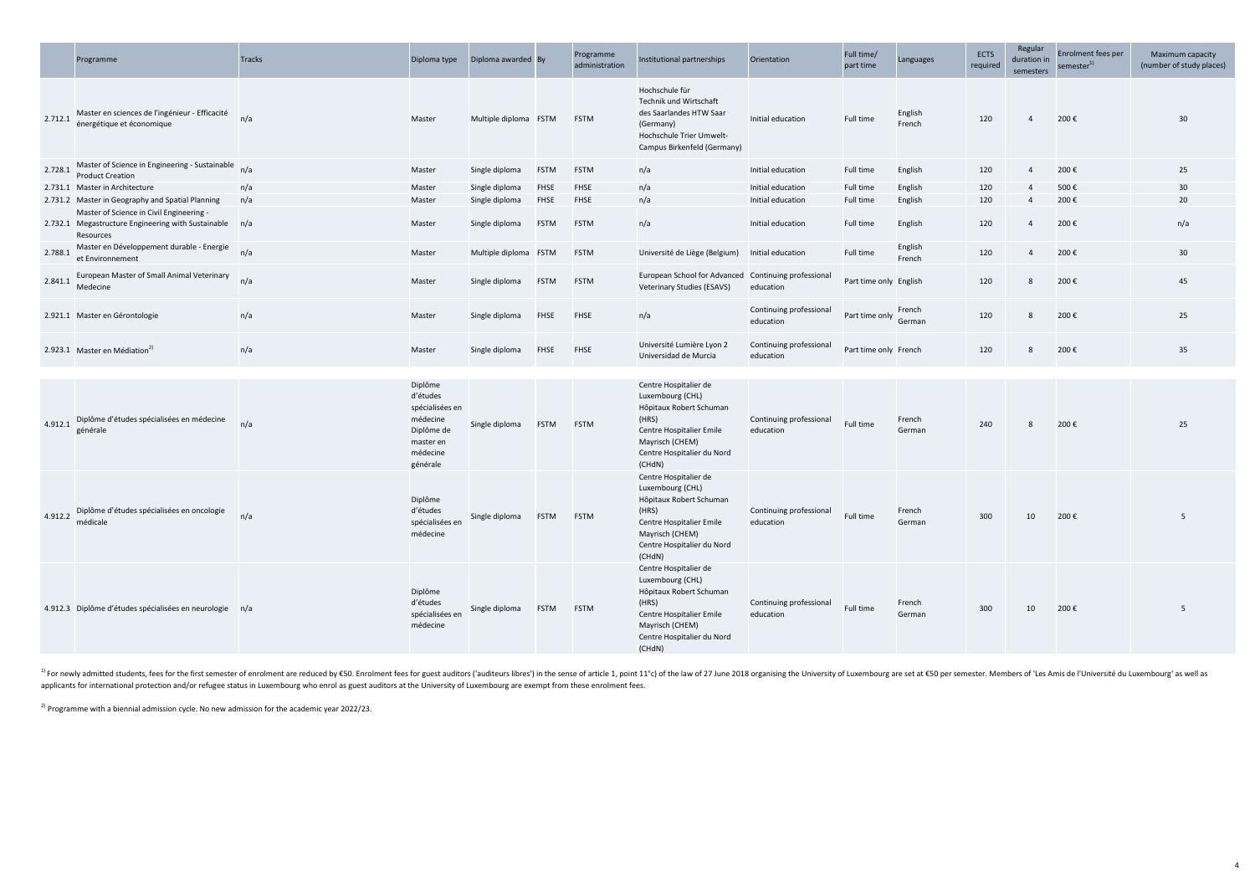|         | Programme                                                                                                       | <b>Tracks</b> | Diploma type                                                                                          | Diploma awarded By    |             | Programme<br>administration | Institutional partnerships                                                                                                                                           | Orientation                          | Full time/<br>part time | Languages         | ECTS<br>required | Regular<br>duration in<br>semesters | Enrolment fees per<br>semester <sup>1)</sup> | Maximum<br>(number of st |
|---------|-----------------------------------------------------------------------------------------------------------------|---------------|-------------------------------------------------------------------------------------------------------|-----------------------|-------------|-----------------------------|----------------------------------------------------------------------------------------------------------------------------------------------------------------------|--------------------------------------|-------------------------|-------------------|------------------|-------------------------------------|----------------------------------------------|--------------------------|
| 2.712.1 | Master en sciences de l'ingénieur - Efficacité<br>énergétique et économique                                     | n/a           | Master                                                                                                | Multiple diploma FSTM |             | <b>FSTM</b>                 | Hochschule für<br>Technik und Wirtschaft<br>des Saarlandes HTW Saar<br>(Germany)<br>Hochschule Trier Umwelt-<br>Campus Birkenfeld (Germany)                          | Initial education                    | Full time               | English<br>French | 120              | $\overline{4}$                      | 200€                                         | 30                       |
| 2.728.1 | Master of Science in Engineering - Sustainable<br><b>Product Creation</b>                                       | n/a           | Master                                                                                                | Single diploma        | <b>FSTM</b> | <b>FSTM</b>                 | n/a                                                                                                                                                                  | Initial education                    | Full time               | English           | 120              | $\overline{4}$                      | 200€                                         | 25                       |
|         | 2.731.1 Master in Architecture                                                                                  | n/a           | Master                                                                                                | Single diploma        | <b>FHSE</b> | <b>FHSE</b>                 | n/a                                                                                                                                                                  | Initial education                    | Full time               | English           | 120              | $\overline{4}$                      | 500€                                         | 30                       |
|         | 2.731.2 Master in Geography and Spatial Planning                                                                | n/a           | Master                                                                                                | Single diploma        | <b>FHSE</b> | <b>FHSE</b>                 | n/a                                                                                                                                                                  | Initial education                    | <b>Full time</b>        | English           | 120              | $\overline{4}$                      | 200€                                         | 20                       |
|         | Master of Science in Civil Engineering -<br>2.732.1 Megastructure Engineering with Sustainable n/a<br>Resources |               | Master                                                                                                | Single diploma        | <b>FSTM</b> | <b>FSTM</b>                 | n/a                                                                                                                                                                  | Initial education                    | Full time               | English           | 120              | $\overline{4}$                      | 200€                                         | $n/\epsilon$             |
| 2.788.1 | Master en Développement durable - Energie<br>et Environnement                                                   | n/a           | Master                                                                                                | Multiple diploma FSTM |             | <b>FSTM</b>                 | Université de Liège (Belgium)                                                                                                                                        | Initial education                    | Full time               | English<br>French | 120              | $\overline{4}$                      | 200€                                         | 30                       |
| 2.841.1 | European Master of Small Animal Veterinary<br>Medecine                                                          | n/a           | Master                                                                                                | Single diploma        | <b>FSTM</b> | <b>FSTM</b>                 | European School for Advanced Continuing professional<br><b>Veterinary Studies (ESAVS)</b>                                                                            | education                            | Part time only English  |                   | 120              | 8                                   | 200€                                         | 45                       |
|         | 2.921.1 Master en Gérontologie                                                                                  | n/a           | Master                                                                                                | Single diploma        | <b>FHSE</b> | <b>FHSE</b>                 | n/a                                                                                                                                                                  | Continuing professional<br>education | Part time only German   | French            | 120              | 8                                   | 200€                                         | 25                       |
|         | 2.923.1 Master en Médiation <sup>2)</sup>                                                                       | n/a           | Master                                                                                                | Single diploma        | <b>FHSE</b> | FHSE                        | Université Lumière Lyon 2<br>Universidad de Murcia                                                                                                                   | Continuing professional<br>education | Part time only French   |                   | 120              | 8                                   | 200€                                         | 35                       |
|         |                                                                                                                 |               |                                                                                                       |                       |             |                             |                                                                                                                                                                      |                                      |                         |                   |                  |                                     |                                              |                          |
| 4.912.1 | Diplôme d'études spécialisées en médecine<br>générale                                                           | n/a           | Diplôme<br>d'études<br>spécialisées en<br>médecine<br>Diplôme de<br>master en<br>médecine<br>générale | Single diploma        | <b>FSTM</b> | <b>FSTM</b>                 | Centre Hospitalier de<br>Luxembourg (CHL)<br>Hôpitaux Robert Schuman<br>(HRS)<br>Centre Hospitalier Emile<br>Mayrisch (CHEM)<br>Centre Hospitalier du Nord<br>(CHdN) | Continuing professional<br>education | Full time               | French<br>German  | 240              | 8                                   | 200€                                         | 25                       |
|         | Diplôme d'études spécialisées en oncologie<br>$4.912.2$ médicale                                                | n/a           | Diplôme<br>d'études<br>spécialisées en<br>médecine                                                    | Single diploma FSTM   |             | <b>FSTM</b>                 | Centre Hospitalier de<br>Luxembourg (CHL)<br>Hôpitaux Robert Schuman<br>(HRS)<br>Centre Hospitalier Emile<br>Mayrisch (CHEM)<br>Centre Hospitalier du Nord<br>(CHdN) | Continuing professional<br>education | Full time               | French<br>German  | 300              | 10                                  | 200€                                         |                          |
|         | 4.912.3 Diplôme d'études spécialisées en neurologie n/a                                                         |               | Diplôme<br>d'études<br>spécialisées en<br>médecine                                                    | Single diploma        | <b>FSTM</b> | <b>FSTM</b>                 | Centre Hospitalier de<br>Luxembourg (CHL)<br>Hôpitaux Robert Schuman<br>(HRS)<br>Centre Hospitalier Emile<br>Mayrisch (CHEM)<br>Centre Hospitalier du Nord<br>(CHdN) | Continuing professional<br>education | Full time               | French<br>German  | 300              | 10                                  | 200€                                         | 5                        |

<sup>1)</sup> For newly admitted students, fees for the first semester of enrolment are reduced by €50. Enrolment fees for guest auditors ('auditeurs libres') in the sense of article 1, point 11°c) of the law of 27 June 2018 orga applicants for international protection and/or refugee status in Luxembourg who enrol as guest auditors at the University of Luxembourg are exempt from these enrolment fees.

 $^{2)}$  Programme with a biennial admission cycle. No new admission for the academic year 2022/23.

| Orientation                          | Full time/<br>part time | Languages         | <b>ECTS</b><br>required | Regular<br>duration in<br>semesters | Enrolment fees per<br>semester <sup>1)</sup> | Maximum capacity<br>(number of study places) |
|--------------------------------------|-------------------------|-------------------|-------------------------|-------------------------------------|----------------------------------------------|----------------------------------------------|
| Initial education                    | Full time               | English<br>French | 120                     | 4                                   | 200€                                         | 30                                           |
| Initial education                    | Full time               | English           | 120                     | 4                                   | 200€                                         | 25                                           |
| Initial education                    | Full time               | English           | 120                     | 4                                   | 500€                                         | 30                                           |
| Initial education                    | Full time               | English           | 120                     | 4                                   | 200€                                         | 20                                           |
| Initial education                    | Full time               | English           | 120                     | 4                                   | 200€                                         | n/a                                          |
| Initial education                    | Full time               | English<br>French | 120                     | 4                                   | 200€                                         | 30                                           |
| Continuing professional<br>education | Part time only English  |                   | 120                     | 8                                   | 200€                                         | 45                                           |
| Continuing professional<br>education | Part time only          | French<br>German  | 120                     | 8                                   | 200€                                         | 25                                           |
| Continuing professional<br>education | Part time only French   |                   | 120                     | 8                                   | 200€                                         | 35                                           |
| Continuing professional<br>education | Full time               | French<br>German  | 240                     | 8                                   | 200€                                         | 25                                           |
| Continuing professional<br>education | Full time               | French<br>German  | 300                     | 10                                  | 200€                                         | 5                                            |
| Continuing professional<br>education | Full time               | French<br>German  | 300                     | 10                                  | 200€                                         | 5                                            |